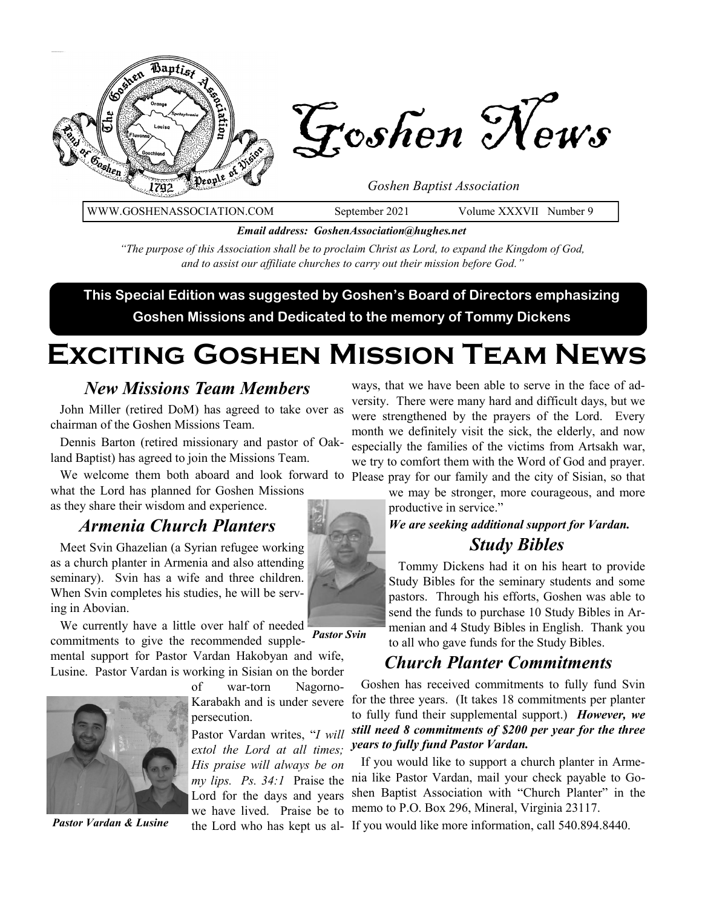

WWW.GOSHENASSOCIATION.COM September 2021 Volume XXXVII Number 9

*Email address: GoshenAssociation@hughes.net*

*"The purpose of this Association shall be to proclaim Christ as Lord, to expand the Kingdom of God, and to assist our affiliate churches to carry out their mission before God."*

**This Special Edition was suggested by Goshen's Board of Directors emphasizing Goshen Missions and Dedicated to the memory of Tommy Dickens**

# **Exciting Goshen Mission Team News**

#### *New Missions Team Members*

 John Miller (retired DoM) has agreed to take over as chairman of the Goshen Missions Team.

 Dennis Barton (retired missionary and pastor of Oakland Baptist) has agreed to join the Missions Team.

 We welcome them both aboard and look forward to Please pray for our family and the city of Sisian, so that what the Lord has planned for Goshen Missions as they share their wisdom and experience.

#### *Armenia Church Planters*

 Meet Svin Ghazelian (a Syrian refugee working as a church planter in Armenia and also attending seminary). Svin has a wife and three children. When Svin completes his studies, he will be serving in Abovian.

We currently have a little over half of needed commitments to give the recommended supplemental support for Pastor Vardan Hakobyan and wife, Lusine. Pastor Vardan is working in Sisian on the border *Pastor Svin*



of war-torn Nagorno-Karabakh and is under severe persecution.

Pastor Vardan writes, "*I will extol the Lord at all times; His praise will always be on my lips. Ps. 34:1* Praise the Lord for the days and years we have lived. Praise be to

ways, that we have been able to serve in the face of adversity. There were many hard and difficult days, but we were strengthened by the prayers of the Lord. Every month we definitely visit the sick, the elderly, and now especially the families of the victims from Artsakh war, we try to comfort them with the Word of God and prayer.

we may be stronger, more courageous, and more

productive in service."

#### *We are seeking additional support for Vardan. Study Bibles*

 Tommy Dickens had it on his heart to provide Study Bibles for the seminary students and some pastors. Through his efforts, Goshen was able to send the funds to purchase 10 Study Bibles in Armenian and 4 Study Bibles in English. Thank you to all who gave funds for the Study Bibles.

#### *Church Planter Commitments*

 Goshen has received commitments to fully fund Svin for the three years. (It takes 18 commitments per planter to fully fund their supplemental support.) *However, we still need 8 commitments of \$200 per year for the three years to fully fund Pastor Vardan.* 

 If you would like to support a church planter in Armenia like Pastor Vardan, mail your check payable to Goshen Baptist Association with "Church Planter" in the memo to P.O. Box 296, Mineral, Virginia 23117.

Pastor Vardan & Lusine the Lord who has kept us al- If you would like more information, call 540.894.8440.

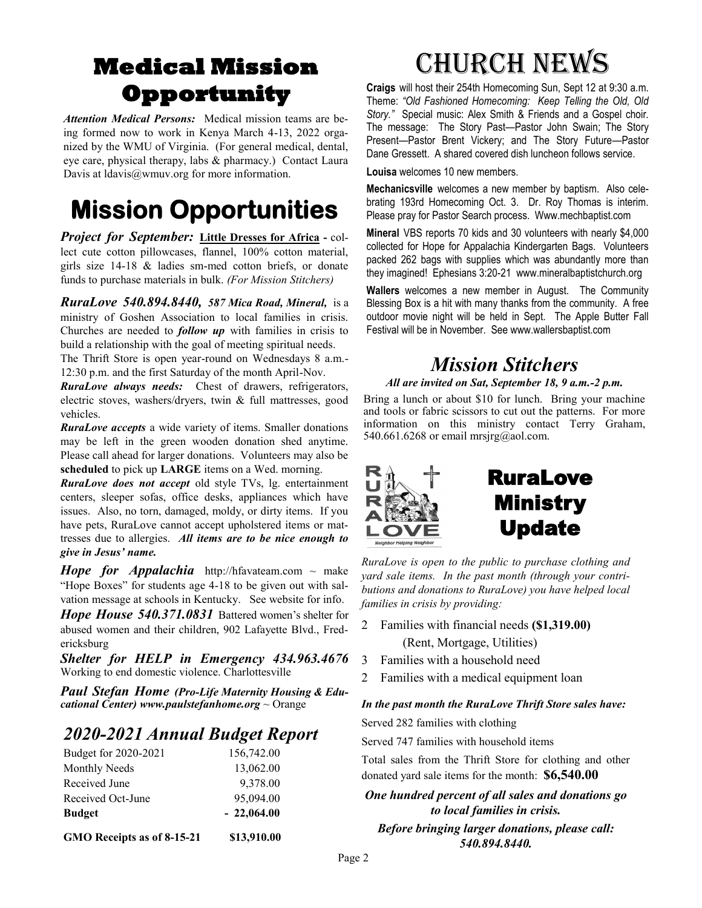## **Medical Mission Opportunity**

*Attention Medical Persons:* Medical mission teams are being formed now to work in Kenya March 4-13, 2022 organized by the WMU of Virginia. (For general medical, dental, eye care, physical therapy, labs & pharmacy.) Contact Laura Davis at Idavis@wmuv.org for more information.

## **Mission Opportunities**

*Project for September:* **Little Dresses for Africa -** collect cute cotton pillowcases, flannel, 100% cotton material, girls size 14-18 & ladies sm-med cotton briefs, or donate funds to purchase materials in bulk. *(For Mission Stitchers)*

*RuraLove 540.894.8440, 587 Mica Road, Mineral,* is a ministry of Goshen Association to local families in crisis. Churches are needed to *follow up* with families in crisis to build a relationship with the goal of meeting spiritual needs.

The Thrift Store is open year-round on Wednesdays 8 a.m.- 12:30 p.m. and the first Saturday of the month April-Nov.

*RuraLove always needs:* Chest of drawers, refrigerators, electric stoves, washers/dryers, twin & full mattresses, good vehicles.

*RuraLove accepts* a wide variety of items. Smaller donations may be left in the green wooden donation shed anytime. Please call ahead for larger donations. Volunteers may also be **scheduled** to pick up **LARGE** items on a Wed. morning.

*RuraLove does not accept* old style TVs, lg. entertainment centers, sleeper sofas, office desks, appliances which have issues. Also, no torn, damaged, moldy, or dirty items. If you have pets, RuraLove cannot accept upholstered items or mattresses due to allergies. *All items are to be nice enough to give in Jesus' name.* 

*Hope for Appalachia* http://hfavateam.com  $\sim$  make "Hope Boxes" for students age 4-18 to be given out with salvation message at schools in Kentucky. See website for info.

*Hope House 540.371.0831* Battered women's shelter for abused women and their children, 902 Lafayette Blvd., Fredericksburg

*Shelter for HELP in Emergency 434.963.4676*  Working to end domestic violence. Charlottesville

*Paul Stefan Home (Pro-Life Maternity Housing & Educational Center) www.paulstefanhome.org* ~ Orange

### *2020-2021 Annual Budget Report*

| GMO Receipts as of 8-15-21 | \$13,910.00  |
|----------------------------|--------------|
| <b>Budget</b>              | $-22,064.00$ |
| Received Oct-June          | 95,094.00    |
| Received June              | 9,378.00     |
| Monthly Needs              | 13,062.00    |
| Budget for 2020-2021       | 156,742.00   |

# Church News

**Craigs** will host their 254th Homecoming Sun, Sept 12 at 9:30 a.m. Theme: *"Old Fashioned Homecoming: Keep Telling the Old, Old Story."* Special music: Alex Smith & Friends and a Gospel choir. The message: The Story Past—Pastor John Swain; The Story Present—Pastor Brent Vickery; and The Story Future—Pastor Dane Gressett. A shared covered dish luncheon follows service.

**Louisa** welcomes 10 new members.

**Mechanicsville** welcomes a new member by baptism. Also celebrating 193rd Homecoming Oct. 3. Dr. Roy Thomas is interim. Please pray for Pastor Search process. Www.mechbaptist.com

**Mineral** VBS reports 70 kids and 30 volunteers with nearly \$4,000 collected for Hope for Appalachia Kindergarten Bags. Volunteers packed 262 bags with supplies which was abundantly more than they imagined! Ephesians 3:20-21 www.mineralbaptistchurch.org

**Wallers** welcomes a new member in August. The Community Blessing Box is a hit with many thanks from the community. A free outdoor movie night will be held in Sept. The Apple Butter Fall Festival will be in November. See www.wallersbaptist.com

### *Mission Stitchers*

*All are invited on Sat, September 18, 9 a.m.-2 p.m.* 

Bring a lunch or about \$10 for lunch. Bring your machine and tools or fabric scissors to cut out the patterns. For more information on this ministry contact Terry Graham, 540.661.6268 or email mrsjrg@aol.com.



## RuraLove **Ministry** Update

*RuraLove is open to the public to purchase clothing and yard sale items. In the past month (through your contributions and donations to RuraLove) you have helped local families in crisis by providing:*

- 2 Families with financial needs **(\$1,319.00)** (Rent, Mortgage, Utilities)
- 3 Families with a household need
- 2 Families with a medical equipment loan

#### *In the past month the RuraLove Thrift Store sales have:* Served 282 families with clothing

Served 747 families with household items

Total sales from the Thrift Store for clothing and other donated yard sale items for the month: **\$6,540.00** 

*One hundred percent of all sales and donations go to local families in crisis. Before bringing larger donations, please call: 540.894.8440.*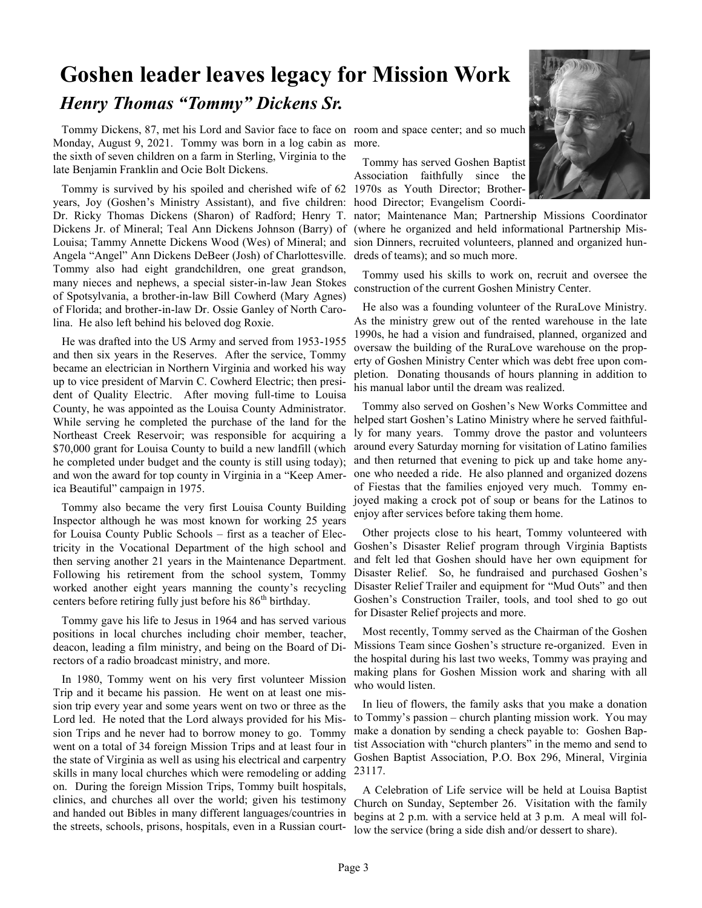## **Goshen leader leaves legacy for Mission Work** *Henry Thomas "Tommy" Dickens Sr.*

 Tommy Dickens, 87, met his Lord and Savior face to face on room and space center; and so much Monday, August 9, 2021. Tommy was born in a log cabin as more. the sixth of seven children on a farm in Sterling, Virginia to the late Benjamin Franklin and Ocie Bolt Dickens.

 Tommy is survived by his spoiled and cherished wife of 62 1970s as Youth Director; Brotheryears, Joy (Goshen's Ministry Assistant), and five children: hood Director; Evangelism Coordi-Dr. Ricky Thomas Dickens (Sharon) of Radford; Henry T. Dickens Jr. of Mineral; Teal Ann Dickens Johnson (Barry) of Louisa; Tammy Annette Dickens Wood (Wes) of Mineral; and Angela "Angel" Ann Dickens DeBeer (Josh) of Charlottesville. Tommy also had eight grandchildren, one great grandson, many nieces and nephews, a special sister-in-law Jean Stokes of Spotsylvania, a brother-in-law Bill Cowherd (Mary Agnes) of Florida; and brother-in-law Dr. Ossie Ganley of North Carolina. He also left behind his beloved dog Roxie.

 He was drafted into the US Army and served from 1953-1955 and then six years in the Reserves. After the service, Tommy became an electrician in Northern Virginia and worked his way up to vice president of Marvin C. Cowherd Electric; then president of Quality Electric. After moving full-time to Louisa County, he was appointed as the Louisa County Administrator. While serving he completed the purchase of the land for the Northeast Creek Reservoir; was responsible for acquiring a \$70,000 grant for Louisa County to build a new landfill (which he completed under budget and the county is still using today); and won the award for top county in Virginia in a "Keep America Beautiful" campaign in 1975.

 Tommy also became the very first Louisa County Building Inspector although he was most known for working 25 years for Louisa County Public Schools – first as a teacher of Electricity in the Vocational Department of the high school and then serving another 21 years in the Maintenance Department. Following his retirement from the school system, Tommy worked another eight years manning the county's recycling centers before retiring fully just before his  $86<sup>th</sup>$  birthday.

 Tommy gave his life to Jesus in 1964 and has served various positions in local churches including choir member, teacher, deacon, leading a film ministry, and being on the Board of Directors of a radio broadcast ministry, and more.

 In 1980, Tommy went on his very first volunteer Mission Trip and it became his passion. He went on at least one mission trip every year and some years went on two or three as the Lord led. He noted that the Lord always provided for his Mission Trips and he never had to borrow money to go. Tommy went on a total of 34 foreign Mission Trips and at least four in the state of Virginia as well as using his electrical and carpentry skills in many local churches which were remodeling or adding on. During the foreign Mission Trips, Tommy built hospitals, clinics, and churches all over the world; given his testimony and handed out Bibles in many different languages/countries in the streets, schools, prisons, hospitals, even in a Russian court-

 Tommy has served Goshen Baptist Association faithfully since the

nator; Maintenance Man; Partnership Missions Coordinator (where he organized and held informational Partnership Mission Dinners, recruited volunteers, planned and organized hundreds of teams); and so much more.

 Tommy used his skills to work on, recruit and oversee the construction of the current Goshen Ministry Center.

 He also was a founding volunteer of the RuraLove Ministry. As the ministry grew out of the rented warehouse in the late 1990s, he had a vision and fundraised, planned, organized and oversaw the building of the RuraLove warehouse on the property of Goshen Ministry Center which was debt free upon completion. Donating thousands of hours planning in addition to his manual labor until the dream was realized.

 Tommy also served on Goshen's New Works Committee and helped start Goshen's Latino Ministry where he served faithfully for many years. Tommy drove the pastor and volunteers around every Saturday morning for visitation of Latino families and then returned that evening to pick up and take home anyone who needed a ride. He also planned and organized dozens of Fiestas that the families enjoyed very much. Tommy enjoyed making a crock pot of soup or beans for the Latinos to enjoy after services before taking them home.

 Other projects close to his heart, Tommy volunteered with Goshen's Disaster Relief program through Virginia Baptists and felt led that Goshen should have her own equipment for Disaster Relief. So, he fundraised and purchased Goshen's Disaster Relief Trailer and equipment for "Mud Outs" and then Goshen's Construction Trailer, tools, and tool shed to go out for Disaster Relief projects and more.

 Most recently, Tommy served as the Chairman of the Goshen Missions Team since Goshen's structure re-organized. Even in the hospital during his last two weeks, Tommy was praying and making plans for Goshen Mission work and sharing with all who would listen.

 In lieu of flowers, the family asks that you make a donation to Tommy's passion – church planting mission work. You may make a donation by sending a check payable to: Goshen Baptist Association with "church planters" in the memo and send to Goshen Baptist Association, P.O. Box 296, Mineral, Virginia 23117.

 A Celebration of Life service will be held at Louisa Baptist Church on Sunday, September 26. Visitation with the family begins at 2 p.m. with a service held at 3 p.m. A meal will follow the service (bring a side dish and/or dessert to share).